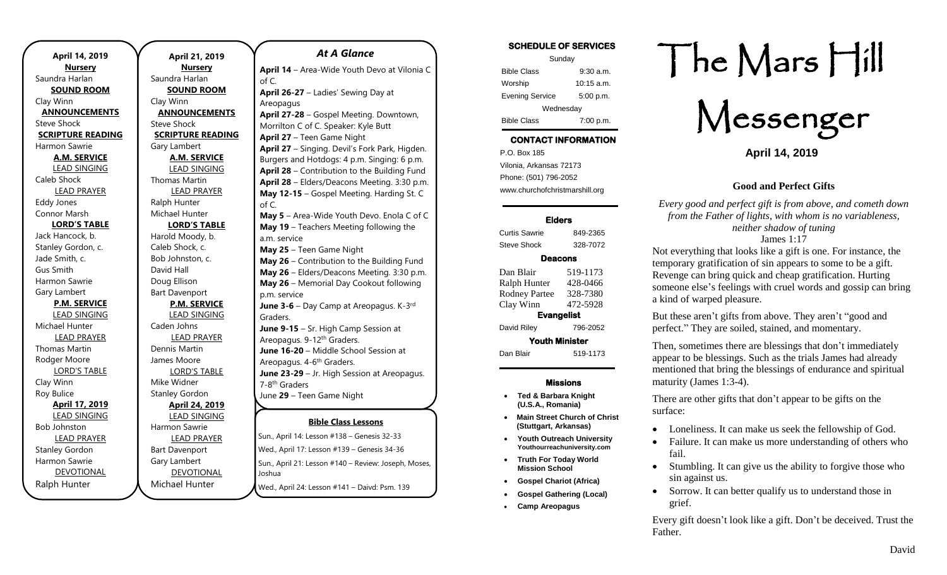| April 14, 2019           |  |  |
|--------------------------|--|--|
| <b>Nursery</b>           |  |  |
| Saundra Harlan           |  |  |
| <b>SOUND ROOM</b>        |  |  |
| Clay Winn                |  |  |
| <b>ANNOUNCEMENTS</b>     |  |  |
| Steve Shock              |  |  |
| <b>SCRIPTURE READING</b> |  |  |
| Harmon Sawrie            |  |  |
| <b>A.M. SERVICE</b>      |  |  |
| <b>LEAD SINGING</b>      |  |  |
| Caleb Shock              |  |  |
| <b>LEAD PRAYER</b>       |  |  |
| <b>Eddy Jones</b>        |  |  |
| Connor Marsh             |  |  |
| <b>LORD'S TABLE</b>      |  |  |
| Jack Hancock, b.         |  |  |
| Stanley Gordon, c.       |  |  |
| Jade Smith, c.           |  |  |
| Gus Smith                |  |  |
| Harmon Sawrie            |  |  |
| Gary Lambert             |  |  |
| <b>P.M. SERVICE</b>      |  |  |
| <b>LEAD SINGING</b>      |  |  |
| Michael Hunter           |  |  |
| <b>LEAD PRAYER</b>       |  |  |
| Thomas Martin            |  |  |
| Rodger Moore             |  |  |
| <b>LORD'S TABLE</b>      |  |  |
| Clay Winn                |  |  |
| Roy Bulice               |  |  |
| April 17, 2019           |  |  |
| <b>LEAD SINGING</b>      |  |  |
| <b>Bob Johnston</b>      |  |  |
| <b>LEAD PRAYER</b>       |  |  |
| <b>Stanley Gordon</b>    |  |  |
| Harmon Sawrie            |  |  |
| <b>DEVOTIONAL</b>        |  |  |
| Ralph Hunter             |  |  |

**April 21, 2019 Nursery** Saundra Harlan **SOUND ROOM** Clay Winn **ANNOUNCEMENTS** Steve Shock **SCRIPTURE READING** Gary Lambert **A.M. SERVICE** LEAD SINGING Thomas Martin LEAD PRAYER Ralph Hunter Michael Hunter **LORD'S TABLE** Harold Moody, b. Caleb Shock, c. Bob Johnston, c. David Hall Doug Ellison Bart Davenport **P.M. SERVICE** LEAD SINGING Caden Johns LEAD PRAYER Dennis Martin James Moore LORD'S TABLE Mike Widner Stanley Gordon **April 24, 2019** LEAD SINGING Harmon Sawrie LEAD PRAYER Bart Davenport Gary Lambert DEVOTIONAL

Michael Hunter

**Bible Class Lessons** of C. a.m. service p.m. service Graders. Areopagus. 4-6<sup>th</sup> Graders. 7-8<sup>th</sup> Graders

*At A Glance*  **April 14** – Area-Wide Youth Devo at Vilonia C of C. **April 26-27** – Ladies' Sewing Day at Areopagus **April 27-28** – Gospel Meeting. Downtown, Morrilton C of C. Speaker: Kyle Butt **April 27** – Teen Game Night **April 27** – Singing. Devil's Fork Park, Higden. Burgers and Hotdogs: 4 p.m. Singing: 6 p.m. **April 28** – Contribution to the Building Fund **April 28** – Elders/Deacons Meeting. 3:30 p.m. **May 12-15** – Gospel Meeting. Harding St. C **May 5** – Area-Wide Youth Devo. Enola C of C **May 19** – Teachers Meeting following the **May 25** – Teen Game Night **May 26** – Contribution to the Building Fund **May 26** – Elders/Deacons Meeting. 3:30 p.m. **May 26** – Memorial Day Cookout following **June 3-6** – Day Camp at Areopagus. K-3<sup>rd</sup> **June 9-15** – Sr. High Camp Session at Areopagus. 9-12<sup>th</sup> Graders. **June 16-20** – Middle School Session at

**June 23-29** – Jr. High Session at Areopagus.

June **29** – Teen Game Night

**Sun., April 14: Lesson #138 – Genesis 32-33** Wed., April 17: Lesson #139 – Genesis 34-36 Sun., April 21: Lesson #140 - Review: Joseph, Moses, Joshua Wed., April 24: Lesson #141 - Daivd: Psm. 139 Jun., Aphil 14. Lesson <del># 130 – Genesis 32-33</del> **July 28**  $-$  **Contribution to the Building Funds Funds Funds Funds Funds Funds Funds Funds Funds Funds Funds Funds Funds Funds Funds Funds Funds Funds Funds Funds Funds Funds Funds Funds Funds Funds Funds Funds Funds Funds** 

University Lectures. Theme: Fan the Flame

#### **SCHEDULE OF SERVICES**

| Sunday                 |              |  |
|------------------------|--------------|--|
| <b>Bible Class</b>     | $9:30$ a.m.  |  |
| Worship                | $10:15$ a.m. |  |
| <b>Evening Service</b> | 5:00 p.m.    |  |
| Wednesday              |              |  |
| <b>Bible Class</b>     | 7:00 p.m.    |  |

## **CONTACT INFORMATION**

. .o. Box 166<br>Vilonia, Arkansas 72173 P.O. Box 185 Phone: (501) 796-2052 www.churchofchristmarshill.org

#### **Elders**

Curtis Sawrie 849-2365 Steve Shock 328-7072

#### **Deacons**

| Dan Blair             | 519-1173 |  |
|-----------------------|----------|--|
| Ralph Hunter          | 428-0466 |  |
| <b>Rodney Partee</b>  | 328-7380 |  |
| Clay Winn             | 472-5928 |  |
| <b>Evangelist</b>     |          |  |
| David Riley           | 796-2052 |  |
| <b>Youth Minister</b> |          |  |
| Dan Blair             | 519-1173 |  |
|                       |          |  |

#### **Missions**

- **Ted & Barbara Knight (U.S.A., Romania)**
- **Main Street Church of Christ (Stuttgart, Arkansas)**
- **Youth Outreach University Youthourreachuniversity.com**
- **Truth For Today World Mission School**
- **Gospel Chariot (Africa)**
- **Gospel Gathering (Local)**
- **Camp Areopagus**

# The Mars Hill

Messenger

**April 14, 2019**

#### **Good and Perfect Gifts**

*Every good and perfect gift is from above, and cometh down from the Father of lights, with whom is no variableness, neither shadow of tuning* James 1:17

Not everything that looks like a gift is one. For instance, the temporary gratification of sin appears to some to be a gift. Revenge can bring quick and cheap gratification. Hurting someone else's feelings with cruel words and gossip can bring a kind of warped pleasure.

But these aren't gifts from above. They aren't "good and perfect." They are soiled, stained, and momentary.

Then, sometimes there are blessings that don't immediately appear to be blessings. Such as the trials James had already mentioned that bring the blessings of endurance and spiritual maturity (James 1:3-4).

There are other gifts that don't appear to be gifts on the surface:

- Loneliness. It can make us seek the fellowship of God.
- Failure. It can make us more understanding of others who fail.
- Stumbling. It can give us the ability to forgive those who sin against us.
- Sorrow. It can better qualify us to understand those in grief.

Every gift doesn't look like a gift. Don't be deceived. Trust the Father.